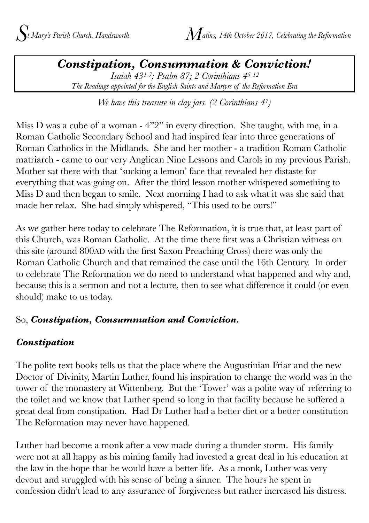*Constipation, Consummation & Conviction! Isaiah 431-7; Psalm 87; 2 Corinthians 45-12 The Readings appointed for the English Saints and Martyrs of the Reformation Era*

*We have this treasure in clay jars. (2 Corinthians 47)*

Miss D was a cube of a woman - 4"2" in every direction. She taught, with me, in a Roman Catholic Secondary School and had inspired fear into three generations of Roman Catholics in the Midlands. She and her mother - a tradition Roman Catholic matriarch - came to our very Anglican Nine Lessons and Carols in my previous Parish. Mother sat there with that 'sucking a lemon' face that revealed her distaste for everything that was going on. After the third lesson mother whispered something to Miss D and then began to smile. Next morning I had to ask what it was she said that made her relax. She had simply whispered, "This used to be ours!"

As we gather here today to celebrate The Reformation, it is true that, at least part of this Church, was Roman Catholic. At the time there first was a Christian witness on this site (around 800AD with the first Saxon Preaching Cross) there was only the Roman Catholic Church and that remained the case until the 16th Century. In order to celebrate The Reformation we do need to understand what happened and why and, because this is a sermon and not a lecture, then to see what difference it could (or even should) make to us today.

## So, *Constipation, Consummation and Conviction.*

## *Constipation*

The polite text books tells us that the place where the Augustinian Friar and the new Doctor of Divinity, Martin Luther, found his inspiration to change the world was in the tower of the monastery at Wittenberg. But the 'Tower' was a polite way of referring to the toilet and we know that Luther spend so long in that facility because he suffered a great deal from constipation. Had Dr Luther had a better diet or a better constitution The Reformation may never have happened.

Luther had become a monk after a vow made during a thunder storm. His family were not at all happy as his mining family had invested a great deal in his education at the law in the hope that he would have a better life. As a monk, Luther was very devout and struggled with his sense of being a sinner. The hours he spent in confession didn't lead to any assurance of forgiveness but rather increased his distress.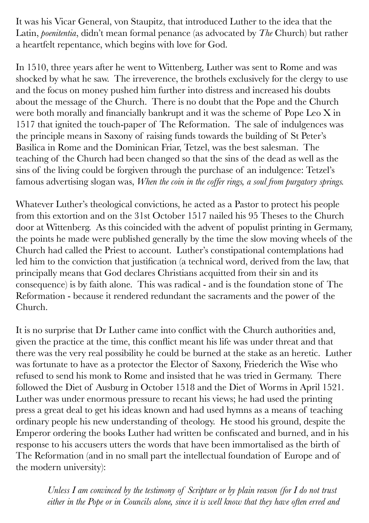It was his Vicar General, von Staupitz, that introduced Luther to the idea that the Latin, *poenitentia*, didn't mean formal penance (as advocated by *The* Church) but rather a heartfelt repentance, which begins with love for God.

In 1510, three years after he went to Wittenberg, Luther was sent to Rome and was shocked by what he saw. The irreverence, the brothels exclusively for the clergy to use and the focus on money pushed him further into distress and increased his doubts about the message of the Church. There is no doubt that the Pope and the Church were both morally and financially bankrupt and it was the scheme of Pope Leo X in 1517 that ignited the touch-paper of The Reformation. The sale of indulgences was the principle means in Saxony of raising funds towards the building of St Peter's Basilica in Rome and the Dominican Friar, Tetzel, was the best salesman. The teaching of the Church had been changed so that the sins of the dead as well as the sins of the living could be forgiven through the purchase of an indulgence: Tetzel's famous advertising slogan was, *When the coin in the coffer rings, a soul from purgatory springs.*

Whatever Luther's theological convictions, he acted as a Pastor to protect his people from this extortion and on the 31st October 1517 nailed his 95 Theses to the Church door at Wittenberg. As this coincided with the advent of populist printing in Germany, the points he made were published generally by the time the slow moving wheels of the Church had called the Priest to account. Luther's constipational contemplations had led him to the conviction that justification (a technical word, derived from the law, that principally means that God declares Christians acquitted from their sin and its consequence) is by faith alone. This was radical - and is the foundation stone of The Reformation - because it rendered redundant the sacraments and the power of the Church.

It is no surprise that Dr Luther came into conflict with the Church authorities and, given the practice at the time, this conflict meant his life was under threat and that there was the very real possibility he could be burned at the stake as an heretic. Luther was fortunate to have as a protector the Elector of Saxony, Friederich the Wise who refused to send his monk to Rome and insisted that he was tried in Germany. There followed the Diet of Ausburg in October 1518 and the Diet of Worms in April 1521. Luther was under enormous pressure to recant his views; he had used the printing press a great deal to get his ideas known and had used hymns as a means of teaching ordinary people his new understanding of theology. He stood his ground, despite the Emperor ordering the books Luther had written be confiscated and burned, and in his response to his accusers utters the words that have been immortalised as the birth of The Reformation (and in no small part the intellectual foundation of Europe and of the modern university):

*Unless I am convinced by the testimony of Scripture or by plain reason (for I do not trust either in the Pope or in Councils alone, since it is well know that they have often erred and*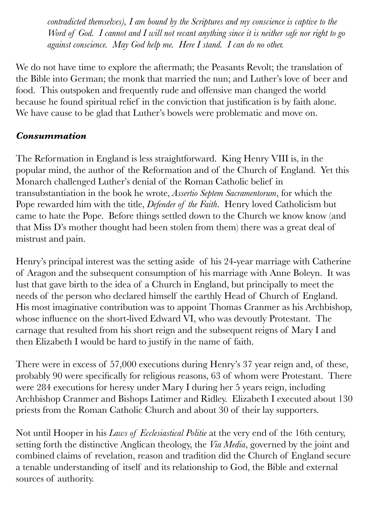*contradicted themselves), I am bound by the Scriptures and my conscience is captive to the Word of God. I cannot and I will not recant anything since it is neither safe nor right to go against conscience. May God help me. Here I stand. I can do no other.* 

We do not have time to explore the aftermath; the Peasants Revolt; the translation of the Bible into German; the monk that married the nun; and Luther's love of beer and food. This outspoken and frequently rude and offensive man changed the world because he found spiritual relief in the conviction that justification is by faith alone. We have cause to be glad that Luther's bowels were problematic and move on.

## *Consummation*

The Reformation in England is less straightforward. King Henry VIII is, in the popular mind, the author of the Reformation and of the Church of England. Yet this Monarch challenged Luther's denial of the Roman Catholic belief in transubstantiation in the book he wrote, *Assertio Septem Sacramentorum*, for which the Pope rewarded him with the title, *Defender of the Faith*. Henry loved Catholicism but came to hate the Pope. Before things settled down to the Church we know know (and that Miss D's mother thought had been stolen from them) there was a great deal of mistrust and pain.

Henry's principal interest was the setting aside of his 24-year marriage with Catherine of Aragon and the subsequent consumption of his marriage with Anne Boleyn. It was lust that gave birth to the idea of a Church in England, but principally to meet the needs of the person who declared himself the earthly Head of Church of England. His most imaginative contribution was to appoint Thomas Cranmer as his Archbishop, whose influence on the short-lived Edward VI, who was devoutly Protestant. The carnage that resulted from his short reign and the subsequent reigns of Mary I and then Elizabeth I would be hard to justify in the name of faith.

There were in excess of 57,000 executions during Henry's 37 year reign and, of these, probably 90 were specifically for religious reasons, 63 of whom were Protestant. There were 284 executions for heresy under Mary I during her 5 years reign, including Archbishop Cranmer and Bishops Latimer and Ridley. Elizabeth I executed about 130 priests from the Roman Catholic Church and about 30 of their lay supporters.

Not until Hooper in his *Laws of Ecclesiastical Politie* at the very end of the 16th century, setting forth the distinctive Anglican theology, the *Via Media*, governed by the joint and combined claims of revelation, reason and tradition did the Church of England secure a tenable understanding of itself and its relationship to God, the Bible and external sources of authority.